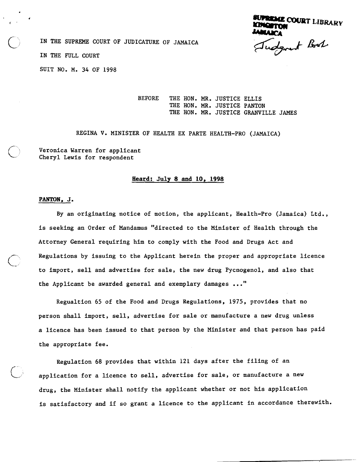**ENCE COURT LIBRARY**<br>**Prom**<br>*L*eggert Book

IN THE SUPREME COURT OF JUDICATURE OF JAMAICA

IN THE FULL COURT

SUIT NO. M. 34 OF 1998

BEFORE THE HON. MR. JUSTICE ELLIS THE HON. MR. JUSTICE PANTON THE HON. MR. JUSTICE GRANVILLE JAMES

REGINA V. MINISTER OF HEALTH EX PARTE HEALTH-PRO (JAMAICA)

Veronica Warren for applicant<br>Cheryl Lewis for respondent

## **Heard:** July **8** and 10, **1998**

## **PANTON, J.**

By an originating notice of motion, the applicant, Health-Pro (Jamaica) Ltd., is seeking an Order of Mandamus "directed to the Minister of Health through the Attorney General requiring him to comply with the Food and Drugs Act and Regulations by issuing to the Applicant herein the proper and appropriate licence to import, sell and advertise for sale, the new drug Pycnogenol, and also that the Applicant be awarded general and exemplary damages ..."

Regualtion 65 of the Food and Drugs Regulations, 1975, provides that no person shall import, sell, advertise for sale or manufacture a new drug unless a licence has been issued to that person by the Minister and that person has paid the appropriate fee.

Regulation 68 provides that within 121 days after the filing of an application for a licence to sell, advertise for sale, or manufacture a new drug, the Minister shall notify the applicant whether or not his application is satisfactory and if so grant a licence to the applicant in accordance therewith.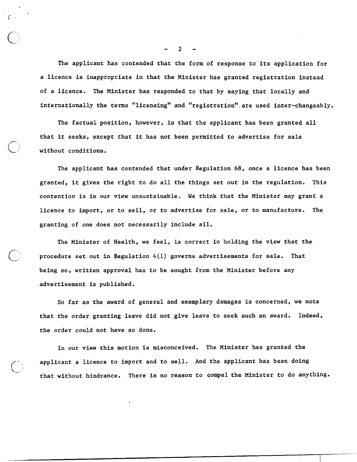The applicant has contended that the form of response to its application for a licence is inappropriate in that the Minister has granted registration instead of a licence. The Minister has responded to that by saying that locally and internationally the terms "licensing" and "registration" are used inter-changeably.

The factual position, however, is that the applicant has been granted all that it seeks, except that it has not been permitted to advertise for sale without conditions.

The applicant has contended that under Regulation 68, once a licence has been granted, it gives the right to do all the things set out in the regulation. This contention is in our view unsustainable. We think that the Minister may grant a licence to import, or to sell, or to advertise for sale, or to manufacture. The granting of one does not necessarily include all.

The Minister of Health, we feel, is correct in holding the view that the procedure set out in Regulation  $4(1)$  governs advertisements for sale. That being so, written approval has to be sought from the Minister before any advertisement is published.

So far as the award of general and exemplary damages is concerned, we note that the order granting leave did not give leave to seek such an award. Indeed, the order could not have so done.

In our view this motion is misconceived. The Minister has granted the applicant a licence to import and to sell. And the applicant has been doing that without hindrance. There is no reason to compel the Minister to do anything.

 $\overline{2}$